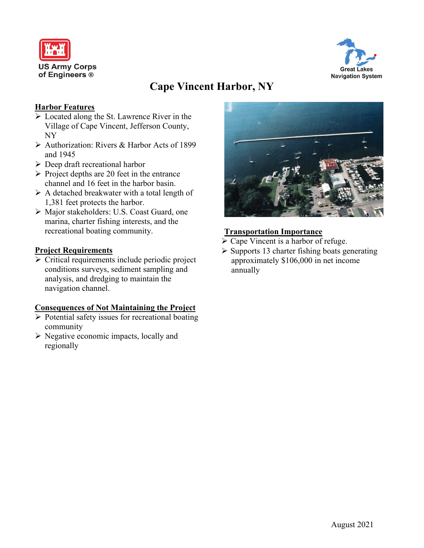



# **Cape Vincent Harbor, NY**

## **Harbor Features**

- Located along the St. Lawrence River in the Village of Cape Vincent, Jefferson County, NY
- Authorization: Rivers & Harbor Acts of 1899 and 1945
- $\triangleright$  Deep draft recreational harbor
- $\triangleright$  Project depths are 20 feet in the entrance channel and 16 feet in the harbor basin.
- $\triangleright$  A detached breakwater with a total length of 1,381 feet protects the harbor.
- Major stakeholders: U.S. Coast Guard, one marina, charter fishing interests, and the recreational boating community.

## **Project Requirements**

 $\triangleright$  Critical requirements include periodic project conditions surveys, sediment sampling and analysis, and dredging to maintain the navigation channel.

#### **Consequences of Not Maintaining the Project**

- $\triangleright$  Potential safety issues for recreational boating community
- $\triangleright$  Negative economic impacts, locally and regionally



## **Transportation Importance**

- $\triangleright$  Cape Vincent is a harbor of refuge.
- $\triangleright$  Supports 13 charter fishing boats generating approximately \$106,000 in net income annually